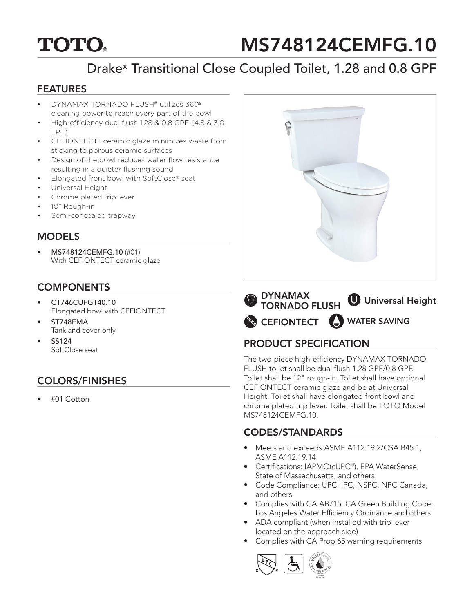# **TOTO.**

# MS748124CEMFG.10

# Drake® Transitional Close Coupled Toilet, 1.28 and 0.8 GPF

#### FEATURES

- DYNAMAX TORNADO FLUSH® utilizes 360º cleaning power to reach every part of the bowl
- High-efficiency dual flush 1.28 & 0.8 GPF (4.8 & 3.0 LPF)
- CEFIONTECT® ceramic glaze minimizes waste from sticking to porous ceramic surfaces
- Design of the bowl reduces water flow resistance resulting in a quieter flushing sound
- Elongated front bowl with SoftClose® seat
- Universal Height
- Chrome plated trip lever
- 10" Rough-in
- Semi-concealed trapway

#### MODELS

• MS748124CEMFG.10 (#01) With CEFIONTECT ceramic glaze

### **COMPONENTS**

- CT746CUFGT40.10 Elongated bowl with CEFIONTECT
- ST748EMA Tank and cover only
- SS124 SoftClose seat

# COLORS/FINISHES

• #01 Cotton



CEFIONTECT WATER SAVINGDYNAMAX TORNADO FLUSH **U** Universal Height

## PRODUCT SPECIFICATION

The two-piece high-efficiency DYNAMAX TORNADO FLUSH toilet shall be dual flush 1.28 GPF/0.8 GPF. Toilet shall be 12" rough-in. Toilet shall have optional CEFIONTECT ceramic glaze and be at Universal Height. Toilet shall have elongated front bowl and chrome plated trip lever. Toilet shall be TOTO Model MS748124CEMFG.10.

### CODES/STANDARDS

- Meets and exceeds ASME A112.19.2/CSA B45.1, ASME A112.19.14
- Certifications: IAPMO(cUPC®), EPA WaterSense, State of Massachusetts, and others
- Code Compliance: UPC, IPC, NSPC, NPC Canada, and others
- Complies with CA AB715, CA Green Building Code, Los Angeles Water Efficiency Ordinance and others
- ADA compliant (when installed with trip lever located on the approach side)
- Complies with CA Prop 65 warning requirements